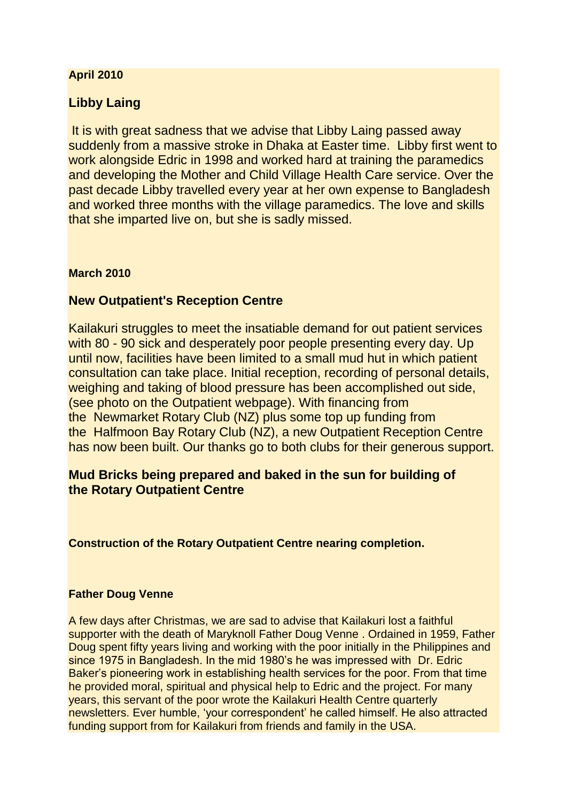### **April 2010**

# **Libby Laing**

It is with great sadness that we advise that Libby Laing passed away suddenly from a massive stroke in Dhaka at Easter time. Libby first went to work alongside Edric in 1998 and worked hard at training the paramedics and developing the Mother and Child Village Health Care service. Over the past decade Libby travelled every year at her own expense to Bangladesh and worked three months with the village paramedics. The love and skills that she imparted live on, but she is sadly missed.

#### **March 2010**

# **New Outpatient's Reception Centre**

Kailakuri struggles to meet the insatiable demand for out patient services with 80 - 90 sick and desperately poor people presenting every day. Up until now, facilities have been limited to a small mud hut in which patient consultation can take place. Initial reception, recording of personal details, weighing and taking of blood pressure has been accomplished out side, (see photo on the Outpatient webpage). With financing from the Newmarket Rotary Club (NZ) plus some top up funding from the Halfmoon Bay Rotary Club (NZ), a new Outpatient Reception Centre has now been built. Our thanks go to both clubs for their generous support.

# **Mud Bricks being prepared and baked in the sun for building of the Rotary Outpatient Centre**

**Construction of the Rotary Outpatient Centre nearing completion.**

#### **Father Doug Venne**

A few days after Christmas, we are sad to advise that Kailakuri lost a faithful supporter with the death of Maryknoll Father Doug Venne . Ordained in 1959, Father Doug spent fifty years living and working with the poor initially in the Philippines and since 1975 in Bangladesh. In the mid 1980's he was impressed with Dr. Edric Baker's pioneering work in establishing health services for the poor. From that time he provided moral, spiritual and physical help to Edric and the project. For many years, this servant of the poor wrote the Kailakuri Health Centre quarterly newsletters. Ever humble, 'your correspondent' he called himself. He also attracted funding support from for Kailakuri from friends and family in the USA.